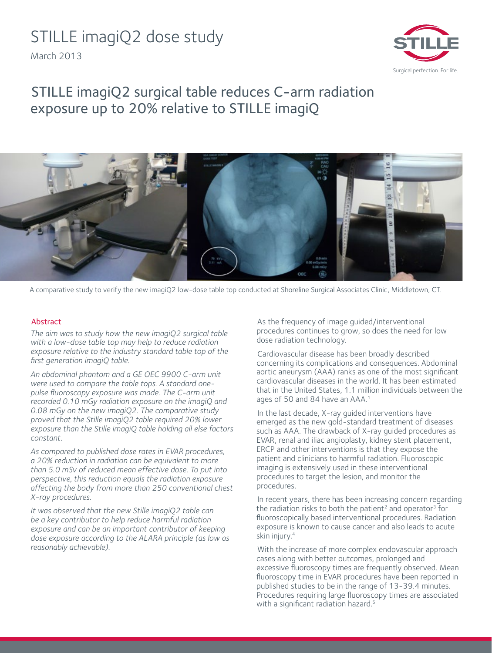# STILLE imagiQ2 dose study

March 2013



## STILLE imagiQ2 surgical table reduces C-arm radiation exposure up to 20% relative to STILLE imagiQ



A comparative study to verify the new imagiQ2 low-dose table top conducted at Shoreline Surgical Associates Clinic, Middletown, CT.

#### Abstract

*The aim was to study how the new imagiQ2 surgical table with a low-dose table top may help to reduce radiation exposure relative to the industry standard table top of the first generation imagiQ table.*

*An abdominal phantom and a GE OEC 9900 C-arm unit were used to compare the table tops. A standard onepulse fluoroscopy exposure was made. The C-arm unit recorded 0.10 mGy radiation exposure on the imagiQ and 0.08 mGy on the new imagiQ2. The comparative study proved that the Stille imagiQ2 table required 20% lower exposure than the Stille imagiQ table holding all else factors constant.* 

*As compared to published dose rates in EVAR procedures, a 20% reduction in radiation can be equivalent to more than 5.0 mSv of reduced mean effective dose. To put into perspective, this reduction equals the radiation exposure affecting the body from more than 250 conventional chest X-ray procedures.* 

*It was observed that the new Stille imagiQ2 table can be a key contributor to help reduce harmful radiation exposure and can be an important contributor of keeping dose exposure according to the ALARA principle (as low as reasonably achievable).* 

As the frequency of image guided/interventional procedures continues to grow, so does the need for low dose radiation technology.

Cardiovascular disease has been broadly described concerning its complications and consequences. Abdominal aortic aneurysm (AAA) ranks as one of the most significant cardiovascular diseases in the world. It has been estimated that in the United States, 1.1 million individuals between the ages of 50 and 84 have an AAA.<sup>1</sup>

In the last decade, X-ray guided interventions have emerged as the new gold-standard treatment of diseases such as AAA. The drawback of X-ray guided procedures as EVAR, renal and iliac angioplasty, kidney stent placement, ERCP and other interventions is that they expose the patient and clinicians to harmful radiation. Fluoroscopic imaging is extensively used in these interventional procedures to target the lesion, and monitor the procedures.

In recent years, there has been increasing concern regarding the radiation risks to both the patient<sup>2</sup> and operator<sup>3</sup> for fluoroscopically based interventional procedures. Radiation exposure is known to cause cancer and also leads to acute skin injury.4

With the increase of more complex endovascular approach cases along with better outcomes, prolonged and excessive fluoroscopy times are frequently observed. Mean fluoroscopy time in EVAR procedures have been reported in published studies to be in the range of 13-39.4 minutes. Procedures requiring large fluoroscopy times are associated with a significant radiation hazard.<sup>5</sup>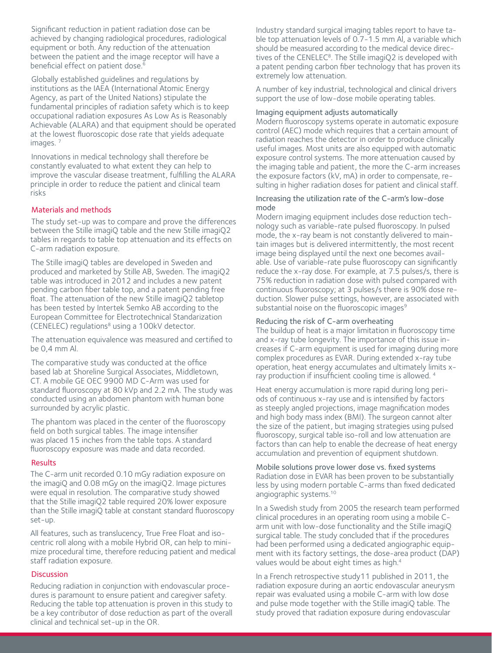Significant reduction in patient radiation dose can be achieved by changing radiological procedures, radiological equipment or both. Any reduction of the attenuation between the patient and the image receptor will have a beneficial effect on patient dose.<sup>6</sup>

Globally established guidelines and regulations by institutions as the IAEA (International Atomic Energy Agency, as part of the United Nations) stipulate the fundamental principles of radiation safety which is to keep occupational radiation exposures As Low As is Reasonably Achievable (ALARA) and that equipment should be operated at the lowest fluoroscopic dose rate that yields adequate images.<sup>7</sup>

Innovations in medical technology shall therefore be constantly evaluated to what extent they can help to improve the vascular disease treatment, fulfilling the ALARA principle in order to reduce the patient and clinical team risks

#### Materials and methods

The study set-up was to compare and prove the differences between the Stille imagiQ table and the new Stille imagiQ2 tables in regards to table top attenuation and its effects on C-arm radiation exposure.

The Stille imagiQ tables are developed in Sweden and produced and marketed by Stille AB, Sweden. The imagiQ2 table was introduced in 2012 and includes a new patent pending carbon fiber table top, and a patent pending free float. The attenuation of the new Stille imagiQ2 tabletop has been tested by Intertek Semko AB according to the European Committee for Electrotechnical Standarization (CENELEC) regulations<sup>8</sup> using a 100kV detector.

The attenuation equivalence was measured and certified to be 0,4 mm Al.

The comparative study was conducted at the office based lab at Shoreline Surgical Associates, Middletown, CT. A mobile GE OEC 9900 MD C-Arm was used for standard fluoroscopy at 80 kVp and 2.2 mA. The study was conducted using an abdomen phantom with human bone surrounded by acrylic plastic.

The phantom was placed in the center of the fluoroscopy field on both surgical tables. The image intensifier was placed 15 inches from the table tops. A standard fluoroscopy exposure was made and data recorded.

#### Results

The C-arm unit recorded 0.10 mGy radiation exposure on the imagiQ and 0.08 mGy on the imagiQ2. Image pictures were equal in resolution. The comparative study showed that the Stille imagiQ2 table required 20% lower exposure than the Stille imagiQ table at constant standard fluoroscopy set-up.

All features, such as translucency, True Free Float and isocentric roll along with a mobile Hybrid OR, can help to minimize procedural time, therefore reducing patient and medical staff radiation exposure.

#### **Discussion**

Reducing radiation in conjunction with endovascular procedures is paramount to ensure patient and caregiver safety. Reducing the table top attenuation is proven in this study to be a key contributor of dose reduction as part of the overall clinical and technical set-up in the OR.

Industry standard surgical imaging tables report to have table top attenuation levels of 0.7-1.5 mm Al, a variable which should be measured according to the medical device directives of the CENELEC $8$ . The Stille imagiQ2 is developed with a patent pending carbon fiber technology that has proven its extremely low attenuation.

A number of key industrial, technological and clinical drivers support the use of low-dose mobile operating tables.

#### Imaging equipment adjusts automatically

Modern fluoroscopy systems operate in automatic exposure control (AEC) mode which requires that a certain amount of radiation reaches the detector in order to produce clinically useful images. Most units are also equipped with automatic exposure control systems. The more attenuation caused by the imaging table and patient, the more the C-arm increases the exposure factors (kV, mA) in order to compensate, resulting in higher radiation doses for patient and clinical staff.

#### Increasing the utilization rate of the C-arm's low-dose mode

Modern imaging equipment includes dose reduction technology such as variable-rate pulsed fluoroscopy. In pulsed mode, the x-ray beam is not constantly delivered to maintain images but is delivered intermittently, the most recent image being displayed until the next one becomes available. Use of variable-rate pulse fluoroscopy can significantly reduce the x-ray dose. For example, at 7.5 pulses/s, there is 75% reduction in radiation dose with pulsed compared with continuous fluoroscopy; at 3 pulses/s there is 90% dose reduction. Slower pulse settings, however, are associated with substantial noise on the fluoroscopic images<sup>9</sup>

#### Reducing the risk of C-arm overheating

The buildup of heat is a major limitation in fluoroscopy time and x-ray tube longevity. The importance of this issue increases if C-arm equipment is used for imaging during more complex procedures as EVAR. During extended x-ray tube operation, heat energy accumulates and ultimately limits xray production if insufficient cooling time is allowed. 4

Heat energy accumulation is more rapid during long periods of continuous x-ray use and is intensified by factors as steeply angled projections, image magnification modes and high body mass index (BMI). The surgeon cannot alter the size of the patient, but imaging strategies using pulsed fluoroscopy, surgical table iso-roll and low attenuation are factors than can help to enable the decrease of heat energy accumulation and prevention of equipment shutdown.

Mobile solutions prove lower dose vs. fixed systems Radiation dose in EVAR has been proven to be substantially less by using modern portable C-arms than fixed dedicated angiographic systems.10

In a Swedish study from 2005 the research team performed clinical procedures in an operating room using a mobile Carm unit with low-dose functionality and the Stille imagiQ surgical table. The study concluded that if the procedures had been performed using a dedicated angiographic equipment with its factory settings, the dose-area product (DAP) values would be about eight times as high.<sup>4</sup>

In a French retrospective study11 published in 2011, the radiation exposure during an aortic endovascular aneurysm repair was evaluated using a mobile C-arm with low dose and pulse mode together with the Stille imagiQ table. The study proved that radiation exposure during endovascular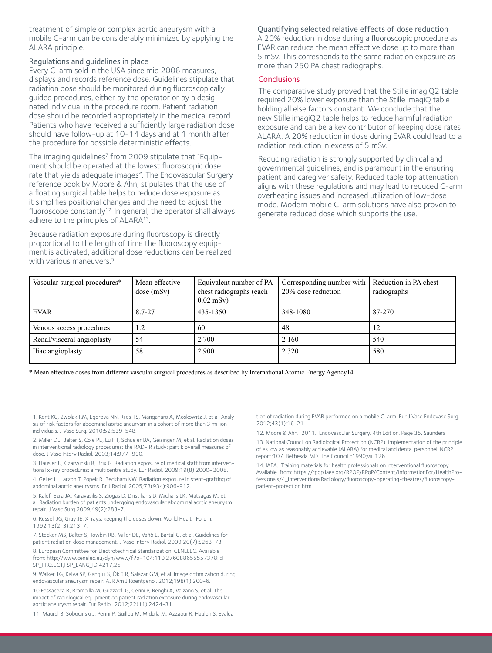treatment of simple or complex aortic aneurysm with a mobile C-arm can be considerably minimized by applying the ALARA principle.

#### Regulations and guidelines in place

Every C-arm sold in the USA since mid 2006 measures, displays and records reference dose. Guidelines stipulate that radiation dose should be monitored during fluoroscopically guided procedures, either by the operator or by a designated individual in the procedure room. Patient radiation dose should be recorded appropriately in the medical record. Patients who have received a sufficiently large radiation dose should have follow-up at 10-14 days and at 1 month after the procedure for possible deterministic effects.

The imaging guidelines<sup>7</sup> from 2009 stipulate that "Equipment should be operated at the lowest fluoroscopic dose rate that yields adequate images". The Endovascular Surgery reference book by Moore & Ahn, stipulates that the use of a floating surgical table helps to reduce dose exposure as it simplifies positional changes and the need to adjust the fluoroscope constantly<sup>12.</sup> In general, the operator shall always adhere to the principles of ALARA<sup>13</sup>.

Because radiation exposure during fluoroscopy is directly proportional to the length of time the fluoroscopy equipment is activated, additional dose reductions can be realized with various maneuvers.<sup>5</sup>

Quantifying selected relative effects of dose reduction A 20% reduction in dose during a fluoroscopic procedure as EVAR can reduce the mean effective dose up to more than 5 mSv. This corresponds to the same radiation exposure as more than 250 PA chest radiographs.

#### **Conclusions**

The comparative study proved that the Stille imagiQ2 table required 20% lower exposure than the Stille imagiQ table holding all else factors constant. We conclude that the new Stille imagiQ2 table helps to reduce harmful radiation exposure and can be a key contributor of keeping dose rates ALARA. A 20% reduction in dose during EVAR could lead to a radiation reduction in excess of 5 mSv.

Reducing radiation is strongly supported by clinical and governmental guidelines, and is paramount in the ensuring patient and caregiver safety. Reduced table top attenuation aligns with these regulations and may lead to reduced C-arm overheating issues and increased utilization of low-dose mode. Modern mobile C-arm solutions have also proven to generate reduced dose which supports the use.

| Vascular surgical procedures* | Mean effective<br>dose(mSv) | Equivalent number of PA<br>chest radiographs (each<br>$0.02$ mSv) | Corresponding number with<br>20% dose reduction | Reduction in PA chest<br>radiographs |
|-------------------------------|-----------------------------|-------------------------------------------------------------------|-------------------------------------------------|--------------------------------------|
| <b>EVAR</b>                   | 8.7-27                      | 435-1350                                                          | 348-1080                                        | 87-270                               |
| Venous access procedures      | 1.2                         | 60                                                                | 48                                              |                                      |
| Renal/visceral angioplasty    | 54                          | 2 700                                                             | 2 1 6 0                                         | 540                                  |
| Iliac angioplasty             | 58                          | 2 9 0 0                                                           | 2 3 2 0                                         | 580                                  |

\* Mean effective doses from different vascular surgical procedures as described by International Atomic Energy Agency14

1. Kent KC, Zwolak RM, Egorova NN, Riles TS, Manganaro A, Moskowitz J, et al. Analysis of risk factors for abdominal aortic aneurysm in a cohort of more than 3 million individuals. J Vasc Surg. 2010;52:539-548.

2. Miller DL, Balter S, Cole PE, Lu HT, Schueler BA, Geisinger M, et al. Radiation doses in interventional radiology procedures: the RAD-IR study: part I: overall measures of dose. J Vasc Interv Radiol. 2003;14:977–990.

3. Hausler U, Czarwinski R, Brix G. Radiation exposure of medical staff from interventional x-ray procedures: a multicentre study. Eur Radiol. 2009;19(8):2000–2008.

4. Geijer H, Larzon T, Popek R, Beckham KW. Radiation exposure in stent-grafting of abdominal aortic aneurysms. Br J Radiol. 2005;78(934):906-912.

5. Kalef-Ezra JA, Karavasilis S, Ziogas D, Dristiliaris D, Michalis LK, Matsagas M, et al. Radiation burden of patients undergoing endovascular abdominal aortic aneurysm repair. J Vasc Surg 2009;49(2):283-7.

6. Russell JG, Gray JE. X-rays: keeping the doses down. World Health Forum. 1992;13(2-3):213-7.

7. Stecker MS, Balter S, Towbin RB, Miller DL, Vañó E, Bartal G, et al. Guidelines for patient radiation dose management. J Vasc Interv Radiol. 2009;20(7):S263-73.

8. European Committee for Electrotechnical Standarization. CENELEC. Available from: http://www.cenelec.eu/dyn/www/f?p=104:110:276088655557378::::F SP\_PROJECT,FSP\_LANG\_ID:4217,25

9. Walker TG, Kalva SP, Ganguli S, Öklü R, Salazar GM, et al. Image optimization during endovascular aneurysm repair. AJR Am J Roentgenol. 2012;198(1):200-6.

10.Fossaceca R, Brambilla M, Guzzardi G, Cerini P, Renghi A, Valzano S, et al. The impact of radiological equipment on patient radiation exposure during endovascular aortic aneurysm repair. Eur Radiol. 2012;22(11):2424-31.

11. Maurel B, Sobocinski J, Perini P, Guillou M, Midulla M, Azzaoui R, Haulon S. Evalua-

tion of radiation during EVAR performed on a mobile C-arm. Eur J Vasc Endovasc Surg. 2012;43(1):16-21.

12. Moore & Ahn. 2011. Endovascular Surgery. 4th Edition. Page 35. Saunders

13. National Council on Radiological Protection (NCRP). Implementation of the principle of as low as reasonably achievable (ALARA) for medical and dental personnel. NCRP report;107. Bethesda MD. The Council c1990;viii:126

14. IAEA. Training materials for health professionals on interventional fluoroscopy. Available from: https://rpop.iaea.org/RPOP/RPoP/Content/InformationFor/HealthProfessionals/4\_InterventionalRadiology/fluoroscopy-operating-theatres/fluoroscopypatient-protection.htm